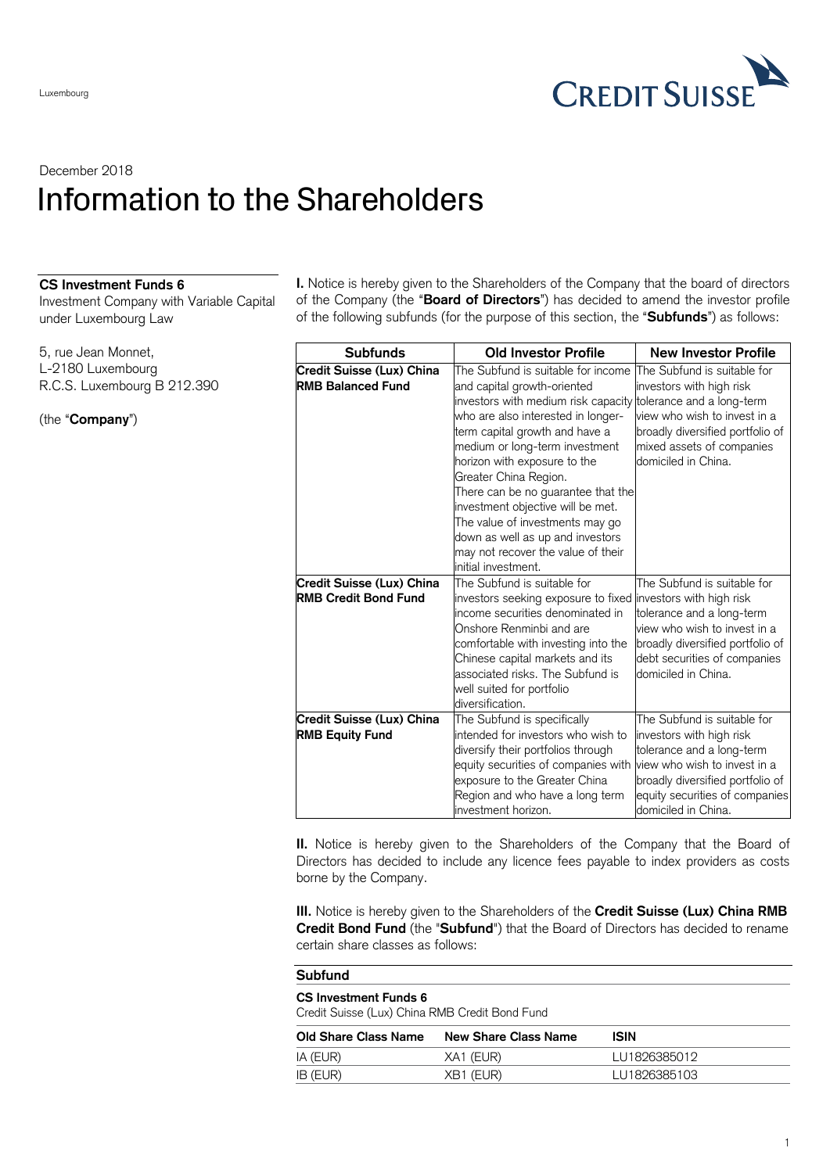

## December 2018 Information to the Shareholders

## **CS Investment Funds 6**

Investment Company with Variable Capital under Luxembourg Law

5, rue Jean Monnet, L-2180 Luxembourg R.C.S. Luxembourg B 212.390

(the "**Company**")

**I.** Notice is hereby given to the Shareholders of the Company that the board of directors of the Company (the "**Board of Directors**") has decided to amend the investor profile of the following subfunds (for the purpose of this section, the "**Subfunds**") as follows:

| <b>Subfunds</b>                                                 | <b>Old Investor Profile</b>                                                                                                                                                                                                                                                                                                                                                                                                                                                                                          | <b>New Investor Profile</b>                                                                                                                                                                                       |
|-----------------------------------------------------------------|----------------------------------------------------------------------------------------------------------------------------------------------------------------------------------------------------------------------------------------------------------------------------------------------------------------------------------------------------------------------------------------------------------------------------------------------------------------------------------------------------------------------|-------------------------------------------------------------------------------------------------------------------------------------------------------------------------------------------------------------------|
| Credit Suisse (Lux) China<br><b>RMB Balanced Fund</b>           | The Subfund is suitable for income<br>and capital growth-oriented<br>investors with medium risk capacity tolerance and a long-term<br>who are also interested in longer-<br>term capital growth and have a<br>medium or long-term investment<br>horizon with exposure to the<br>Greater China Region.<br>There can be no guarantee that the<br>investment objective will be met.<br>The value of investments may go<br>down as well as up and investors<br>may not recover the value of their<br>initial investment. | The Subfund is suitable for<br>investors with high risk<br>view who wish to invest in a<br>broadly diversified portfolio of<br>mixed assets of companies<br>domiciled in China.                                   |
| <b>Credit Suisse (Lux) China</b><br><b>RMB Credit Bond Fund</b> | The Subfund is suitable for<br>investors seeking exposure to fixed<br>income securities denominated in<br>Onshore Renminbi and are<br>comfortable with investing into the<br>Chinese capital markets and its<br>associated risks. The Subfund is<br>well suited for portfolio<br>diversification.                                                                                                                                                                                                                    | The Subfund is suitable for<br>investors with high risk<br>tolerance and a long-term<br>view who wish to invest in a<br>broadly diversified portfolio of<br>debt securities of companies<br>domiciled in China.   |
| Credit Suisse (Lux) China<br><b>RMB Equity Fund</b>             | The Subfund is specifically<br>intended for investors who wish to<br>diversify their portfolios through<br>equity securities of companies with<br>exposure to the Greater China<br>Region and who have a long term<br>investment horizon.                                                                                                                                                                                                                                                                            | The Subfund is suitable for<br>investors with high risk<br>tolerance and a long-term<br>view who wish to invest in a<br>broadly diversified portfolio of<br>equity securities of companies<br>domiciled in China. |

**II.** Notice is hereby given to the Shareholders of the Company that the Board of Directors has decided to include any licence fees payable to index providers as costs borne by the Company.

**III.** Notice is hereby given to the Shareholders of the **Credit Suisse (Lux) China RMB Credit Bond Fund** (the "**Subfund**") that the Board of Directors has decided to rename certain share classes as follows:

| <b>Subfund</b>                                                                 |                             |              |  |  |
|--------------------------------------------------------------------------------|-----------------------------|--------------|--|--|
| <b>CS Investment Funds 6</b><br>Credit Suisse (Lux) China RMB Credit Bond Fund |                             |              |  |  |
| <b>Old Share Class Name</b>                                                    | <b>New Share Class Name</b> | ISIN         |  |  |
| IA (EUR)                                                                       | XA1 (EUR)                   | LU1826385012 |  |  |
| IB (EUR)                                                                       | XB1 (EUR)                   | LU1826385103 |  |  |